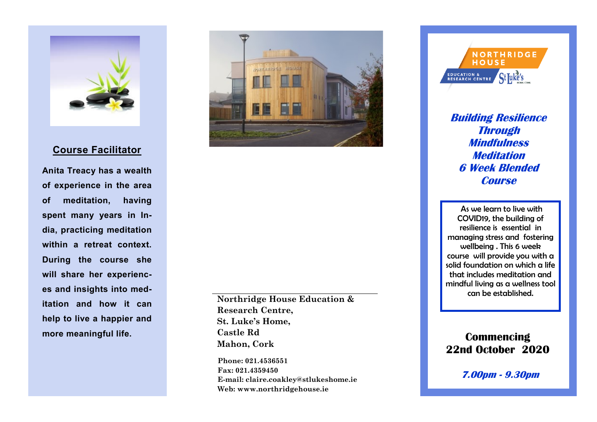

## **Course Facilitator**

**Anita Treacy has a wealth of experience in the area of meditation, having spent many years in India, practicing meditation within a retreat context. During the course she will share her experiences and insights into med itation and how it can help to live a happier and more meaningful life.** 



**Northridge House Education & Research Centre, St. Luke's Home, Castle Rd Mahon, Cork** 

**Phone: 021.4536551 Fax: 021.4359450 E-mail: claire.coakley@stlukeshome.ie Web: www.northridgehouse.ie** 



**Building Resilience Through Mindfulness Meditation 6 Week Blended Course**

As we learn to live with COVID19, the building of resilience is essential in managing stress and fostering wellbeing . This 6 week course will provide you with a solid foundation on which a life that includes meditation and mindful living as a wellness tool can be established.

**Commencing 22nd October 2020**

**7.00pm - 9.30pm**